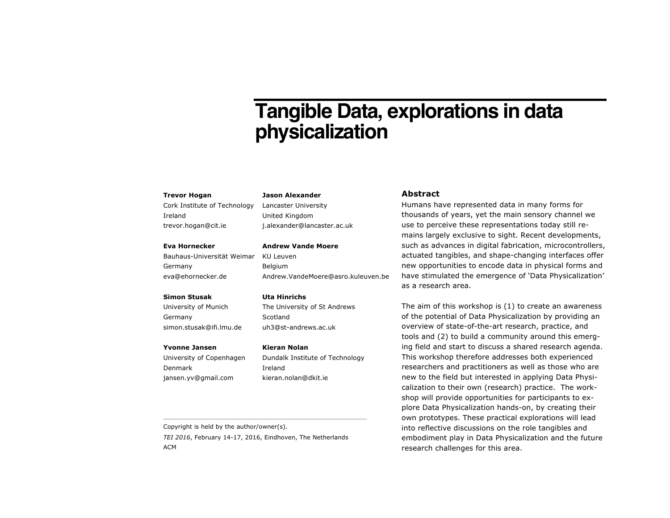# **Tangible Data, explorations in data physicalization**

#### **Trevor Hogan**

Cork Institute of Technology Ireland trevor.hogan@cit.ie

#### **Eva Hornecker**

Bauhaus-Universität Weimar Germany eva@ehornecker.de

## **Simon Stusak**

University of Munich Germany simon.stusak@ifi.lmu.de

#### **Yvonne Jansen**

University of Copenhagen Denmark jansen.yv@gmail.com

**Jason Alexander** Lancaster University

United Kingdom j.alexander@lancaster.ac.uk

## **Andrew Vande Moere**

KU Leuven Belgium Andrew.VandeMoere@asro.kuleuven.be

## **Uta Hinrichs**

The University of St Andrews Scotland uh3@st-andrews.ac.uk

#### **Kieran Nolan**

Dundalk Institute of Technology Ireland kieran.nolan@dkit.ie

# **Abstract**

Humans have represented data in many forms for thousands of years, yet the main sensory channel we use to perceive these representations today still remains largely exclusive to sight. Recent developments, such as advances in digital fabrication, microcontrollers, actuated tangibles, and shape-changing interfaces offer new opportunities to encode data in physical forms and have stimulated the emergence of 'Data Physicalization' as a research area.

The aim of this workshop is (1) to create an awareness of the potential of Data Physicalization by providing an overview of state-of-the-art research, practice, and tools and (2) to build a community around this emerging field and start to discuss a shared research agenda. This workshop therefore addresses both experienced researchers and practitioners as well as those who are new to the field but interested in applying Data Physicalization to their own (research) practice. The workshop will provide opportunities for participants to explore Data Physicalization hands-on, by creating their own prototypes. These practical explorations will lead into reflective discussions on the role tangibles and embodiment play in Data Physicalization and the future research challenges for this area.

Copyright is held by the author/owner(s).

*TEI 2016*, February 14-17, 2016, Eindhoven, The Netherlands ACM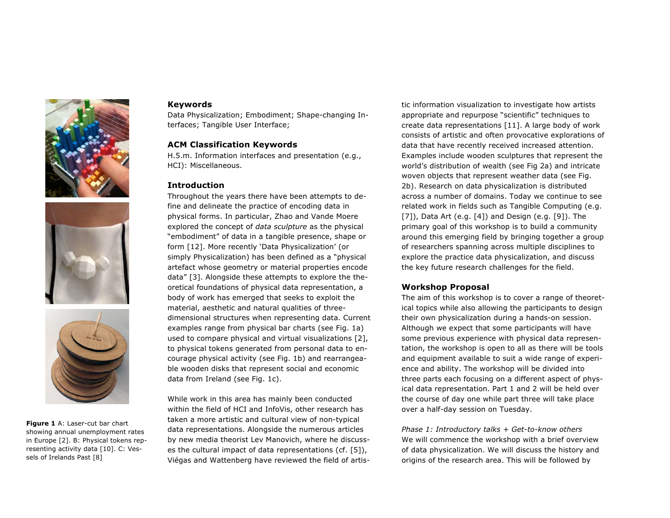





**Figure 1** A: Laser-cut bar chart showing annual unemployment rates in Europe [2]. B: Physical tokens representing activity data [10]. C: Vessels of Irelands Past [8]

# **Keywords**

Data Physicalization; Embodiment; Shape-changing Interfaces; Tangible User Interface;

# **ACM Classification Keywords**

H.5.m. Information interfaces and presentation (e.g., HCI): Miscellaneous.

# **Introduction**

Throughout the years there have been attempts to define and delineate the practice of encoding data in physical forms. In particular, Zhao and Vande Moere explored the concept of *data sculpture* as the physical "embodiment" of data in a tangible presence, shape or form [12]. More recently 'Data Physicalization' (or simply Physicalization) has been defined as a "physical artefact whose geometry or material properties encode data" [3]. Alongside these attempts to explore the theoretical foundations of physical data representation, a body of work has emerged that seeks to exploit the material, aesthetic and natural qualities of threedimensional structures when representing data. Current examples range from physical bar charts (see Fig. 1a) used to compare physical and virtual visualizations [2], to physical tokens generated from personal data to encourage physical activity (see Fig. 1b) and rearrangeable wooden disks that represent social and economic data from Ireland (see Fig. 1c).

While work in this area has mainly been conducted within the field of HCI and InfoVis, other research has taken a more artistic and cultural view of non-typical data representations. Alongside the numerous articles by new media theorist Lev Manovich, where he discusses the cultural impact of data representations (cf. [5]), Viégas and Wattenberg have reviewed the field of artistic information visualization to investigate how artists appropriate and repurpose "scientific" techniques to create data representations [11]. A large body of work consists of artistic and often provocative explorations of data that have recently received increased attention. Examples include wooden sculptures that represent the world's distribution of wealth (see Fig 2a) and intricate woven objects that represent weather data (see Fig. 2b). Research on data physicalization is distributed across a number of domains. Today we continue to see related work in fields such as Tangible Computing (e.g. [7]), Data Art (e.g. [4]) and Design (e.g. [9]). The primary goal of this workshop is to build a community around this emerging field by bringing together a group of researchers spanning across multiple disciplines to explore the practice data physicalization, and discuss the key future research challenges for the field.

# **Workshop Proposal**

The aim of this workshop is to cover a range of theoretical topics while also allowing the participants to design their own physicalization during a hands-on session. Although we expect that some participants will have some previous experience with physical data representation, the workshop is open to all as there will be tools and equipment available to suit a wide range of experience and ability. The workshop will be divided into three parts each focusing on a different aspect of physical data representation. Part 1 and 2 will be held over the course of day one while part three will take place over a half-day session on Tuesday.

*Phase 1: Introductory talks + Get-to-know others* We will commence the workshop with a brief overview of data physicalization. We will discuss the history and origins of the research area. This will be followed by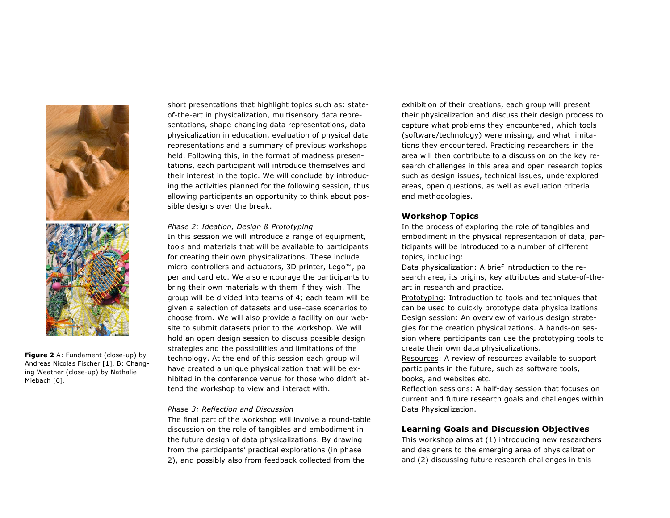

**Figure 2** A: Fundament (close-up) by Andreas Nicolas Fischer [1]. B: Changing Weather (close-up) by Nathalie Miebach [6].

short presentations that highlight topics such as: stateof-the-art in physicalization, multisensory data representations, shape-changing data representations, data physicalization in education, evaluation of physical data representations and a summary of previous workshops held. Following this, in the format of madness presentations, each participant will introduce themselves and their interest in the topic. We will conclude by introducing the activities planned for the following session, thus allowing participants an opportunity to think about possible designs over the break.

## *Phase 2: Ideation, Design & Prototyping*

In this session we will introduce a range of equipment, tools and materials that will be available to participants for creating their own physicalizations. These include micro-controllers and actuators, 3D printer, Lego™, paper and card etc. We also encourage the participants to bring their own materials with them if they wish. The group will be divided into teams of 4; each team will be given a selection of datasets and use-case scenarios to choose from. We will also provide a facility on our website to submit datasets prior to the workshop. We will hold an open design session to discuss possible design strategies and the possibilities and limitations of the technology. At the end of this session each group will have created a unique physicalization that will be exhibited in the conference venue for those who didn't attend the workshop to view and interact with.

## *Phase 3: Reflection and Discussion*

The final part of the workshop will involve a round-table discussion on the role of tangibles and embodiment in the future design of data physicalizations. By drawing from the participants' practical explorations (in phase 2), and possibly also from feedback collected from the

exhibition of their creations, each group will present their physicalization and discuss their design process to capture what problems they encountered, which tools (software/technology) were missing, and what limitations they encountered. Practicing researchers in the area will then contribute to a discussion on the key research challenges in this area and open research topics such as design issues, technical issues, underexplored areas, open questions, as well as evaluation criteria and methodologies.

# **Workshop Topics**

In the process of exploring the role of tangibles and embodiment in the physical representation of data, participants will be introduced to a number of different topics, including:

Data physicalization: A brief introduction to the research area, its origins, key attributes and state-of-theart in research and practice.

Prototyping: Introduction to tools and techniques that can be used to quickly prototype data physicalizations. Design session: An overview of various design strategies for the creation physicalizations. A hands-on session where participants can use the prototyping tools to create their own data physicalizations.

Resources: A review of resources available to support participants in the future, such as software tools, books, and websites etc.

Reflection sessions: A half-day session that focuses on current and future research goals and challenges within Data Physicalization.

# **Learning Goals and Discussion Objectives**

This workshop aims at (1) introducing new researchers and designers to the emerging area of physicalization and (2) discussing future research challenges in this